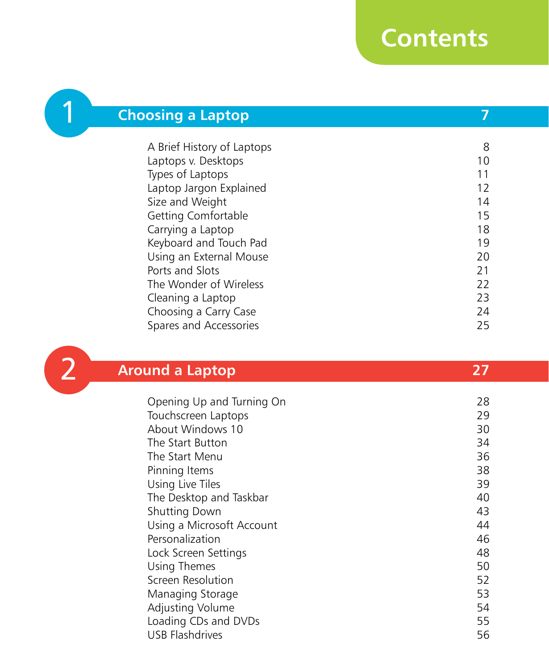### **Contents**

### **Choosing a Laptop 7**

| A Brief History of Laptops | 8  |
|----------------------------|----|
| Laptops v. Desktops        | 10 |
| Types of Laptops           | 11 |
| Laptop Jargon Explained    | 12 |
| Size and Weight            | 14 |
| Getting Comfortable        | 15 |
| Carrying a Laptop          | 18 |
| Keyboard and Touch Pad     | 19 |
| Using an External Mouse    | 20 |
| Ports and Slots            | 21 |
| The Wonder of Wireless     | 22 |
| Cleaning a Laptop          | 23 |
| Choosing a Carry Case      | 24 |
| Spares and Accessories     | 25 |
|                            |    |



1

### **Around a Laptop 27**

| Opening Up and Turning On | 28 |
|---------------------------|----|
| Touchscreen Laptops       | 29 |
| About Windows 10          | 30 |
| The Start Button          | 34 |
| The Start Menu            | 36 |
| Pinning Items             | 38 |
| Using Live Tiles          | 39 |
| The Desktop and Taskbar   | 40 |
| <b>Shutting Down</b>      | 43 |
| Using a Microsoft Account | 44 |
| Personalization           | 46 |
| Lock Screen Settings      | 48 |
| Using Themes              | 50 |
| Screen Resolution         | 52 |
| Managing Storage          | 53 |
| Adjusting Volume          | 54 |
| Loading CDs and DVDs      | 55 |
| <b>USB Flashdrives</b>    | 56 |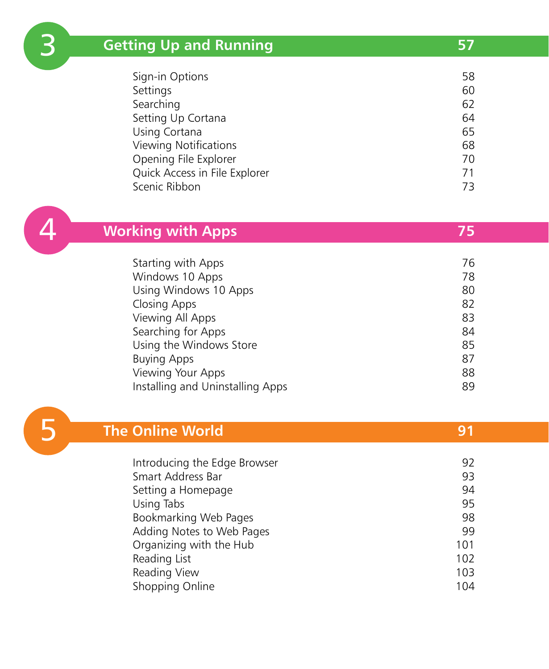| Sign-in Options               | 58 |
|-------------------------------|----|
| Settings                      | 60 |
| Searching                     | 62 |
| Setting Up Cortana            | 64 |
| Using Cortana                 | 65 |
| <b>Viewing Notifications</b>  | 68 |
| Opening File Explorer         | 70 |
| Quick Access in File Explorer | 71 |
| Scenic Ribbon                 | 73 |



3

### **Working with Apps 75**

| Starting with Apps               | 76 |
|----------------------------------|----|
| Windows 10 Apps                  | 78 |
| Using Windows 10 Apps            | 80 |
| Closing Apps                     | 82 |
| Viewing All Apps                 | 83 |
| Searching for Apps               | 84 |
| Using the Windows Store          | 85 |
| <b>Buying Apps</b>               | 87 |
| Viewing Your Apps                | 88 |
| Installing and Uninstalling Apps | 89 |



### **The Online World 91**

| Introducing the Edge Browser | 92  |
|------------------------------|-----|
| Smart Address Bar            | 93  |
| Setting a Homepage           | 94  |
| Using Tabs                   | 95  |
| Bookmarking Web Pages        | 98  |
| Adding Notes to Web Pages    | 99  |
| Organizing with the Hub      | 101 |
| Reading List                 | 102 |
| Reading View                 | 103 |
| Shopping Online              | 104 |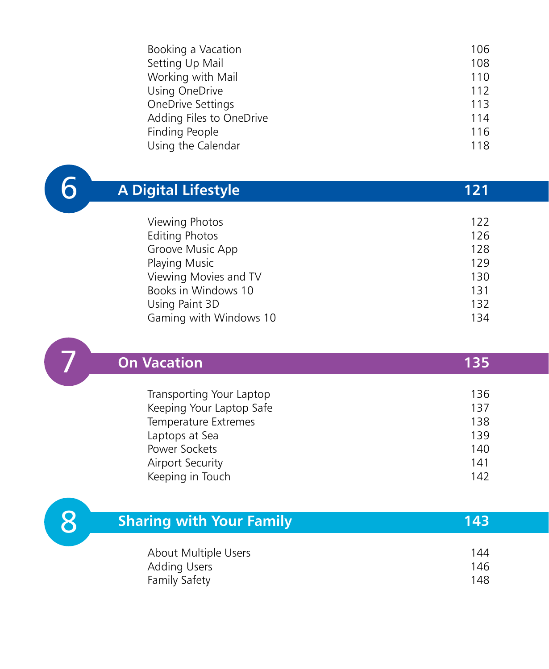| Booking a Vacation       | 106 |
|--------------------------|-----|
| Setting Up Mail          | 108 |
| Working with Mail        | 110 |
| Using OneDrive           | 112 |
| OneDrive Settings        | 113 |
| Adding Files to OneDrive | 114 |
| Finding People           | 116 |
| Using the Calendar       | 118 |



### **A Digital Lifestyle 121**

| Viewing Photos         | 122 |
|------------------------|-----|
| <b>Editing Photos</b>  | 126 |
| Groove Music App       | 128 |
| Playing Music          | 129 |
| Viewing Movies and TV  | 130 |
| Books in Windows 10    | 131 |
| Using Paint 3D         | 132 |
| Gaming with Windows 10 | 134 |

| <b>On Vacation</b>       | 135 |
|--------------------------|-----|
|                          |     |
| Transporting Your Laptop | 136 |
| Keeping Your Laptop Safe | 137 |
| Temperature Extremes     | 138 |
| Laptops at Sea           | 139 |
| Power Sockets            | 140 |
| Airport Security         | 141 |
| Keeping in Touch         | 142 |

| <b>Sharing with Your Family</b>                              | 143               |
|--------------------------------------------------------------|-------------------|
| About Multiple Users<br><b>Adding Users</b><br>Family Safety | 144<br>146<br>148 |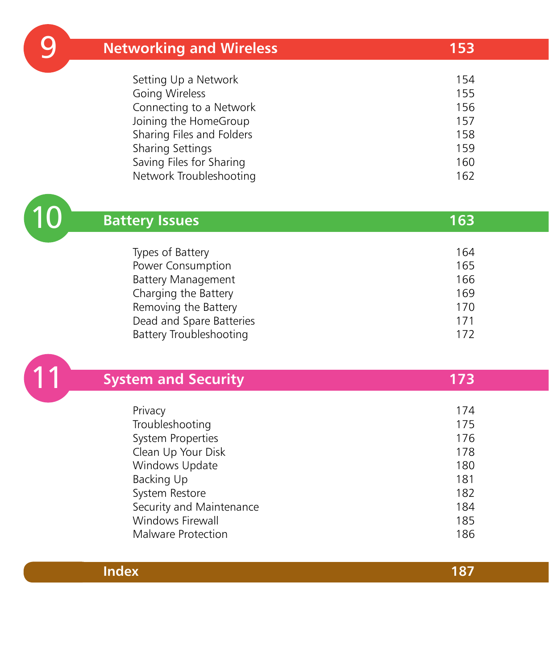#### **Networking and Wireless 153**

| Setting Up a Network      | 154 |
|---------------------------|-----|
| Going Wireless            | 155 |
| Connecting to a Network   | 156 |
| Joining the HomeGroup     | 157 |
| Sharing Files and Folders | 158 |
| <b>Sharing Settings</b>   | 159 |
| Saving Files for Sharing  | 160 |
| Network Troubleshooting   | 162 |
|                           |     |



9

### **Battery Issues 163**

| Types of Battery               | 164 |
|--------------------------------|-----|
| Power Consumption              | 165 |
| <b>Battery Management</b>      | 166 |
| Charging the Battery           | 169 |
| Removing the Battery           | 170 |
| Dead and Spare Batteries       | 171 |
| <b>Battery Troubleshooting</b> | 172 |



**Index 187**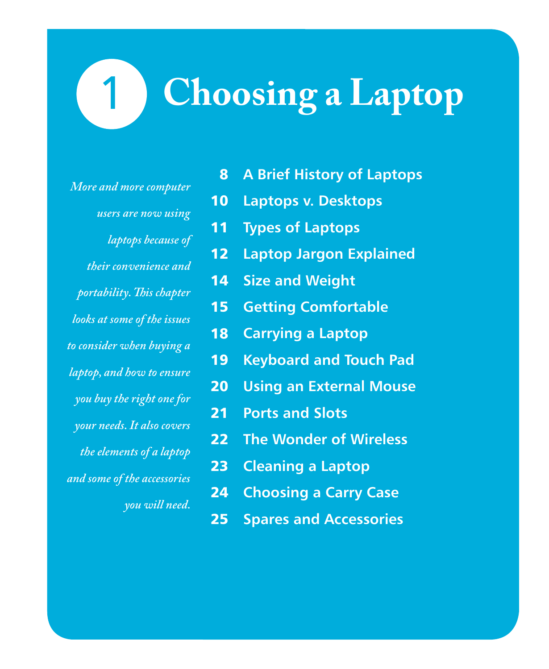# 1 **Choosing a Laptop**

*More and more computer users are now using laptops because of their convenience and portability. This chapter looks at some of the issues to consider when buying a laptop, and how to ensure you buy the right one for your needs. It also covers the elements of a laptop and some of the accessories you will need.*

- **A Brief History of Laptops** 8
- **Laptops v. Desktops** 10
- **Types of Laptops** 11
- **Laptop Jargon Explained** 12
- 14 Size and Weight
- **Getting Comfortable** 15
- **Carrying a Laptop** 18
- **Keyboard and Touch Pad** 19
- **Using an External Mouse** 20
- **Ports and Slots** 21
- **The Wonder of Wireless** 22
- **Cleaning a Laptop** 23
- **Choosing a Carry Case**  24
- **Spares and Accessories** 25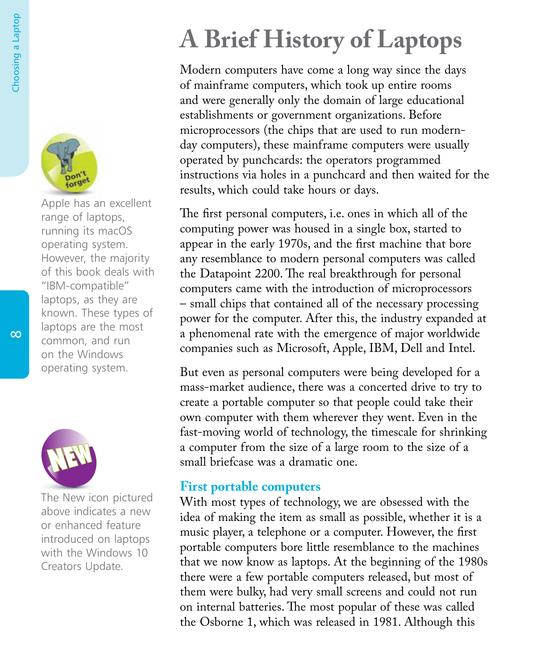

Apple has an excellent range of laptops, running its macOS operating system. However, the majority of this book deals with "IBM-compatible" laptops, as they are known. These types of laptops are the most common, and run on the Windows operating system.



The New icon pictured above indicates a new or enhanced feature introduced on laptops with the Windows 10 Creators Update.

# **A Brief History of Laptops**

Modern computers have come a long way since the days of mainframe computers, which took up entire rooms and were generally only the domain of large educational establishments or government organizations. Before microprocessors (the chips that are used to run modernday computers), these mainframe computers were usually operated by punchcards: the operators programmed instructions via holes in a punchcard and then waited for the results, which could take hours or days.

The first personal computers, i.e. ones in which all of the computing power was housed in a single box, started to appear in the early 1970s, and the first machine that bore any resemblance to modern personal computers was called the Datapoint 2200. The real breakthrough for personal computers came with the introduction of microprocessors – small chips that contained all of the necessary processing power for the computer. After this, the industry expanded at a phenomenal rate with the emergence of major worldwide companies such as Microsoft, Apple, IBM, Dell and Intel.

But even as personal computers were being developed for a mass-market audience, there was a concerted drive to try to create a portable computer so that people could take their own computer with them wherever they went. Even in the fast-moving world of technology, the timescale for shrinking a computer from the size of a large room to the size of a small briefcase was a dramatic one.

#### **First portable computers**

With most types of technology, we are obsessed with the idea of making the item as small as possible, whether it is a music player, a telephone or a computer. However, the first portable computers bore little resemblance to the machines that we now know as laptops. At the beginning of the 1980s there were a few portable computers released, but most of them were bulky, had very small screens and could not run on internal batteries. The most popular of these was called the Osborne 1, which was released in 1981. Although this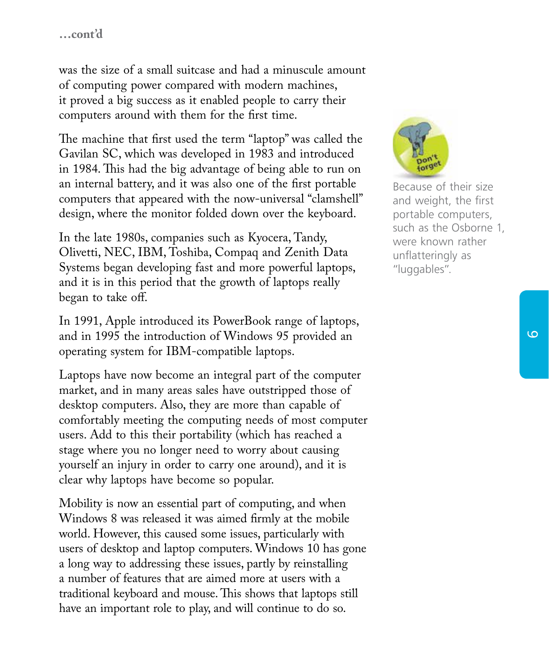was the size of a small suitcase and had a minuscule amount of computing power compared with modern machines, it proved a big success as it enabled people to carry their computers around with them for the first time.

The machine that first used the term "laptop" was called the Gavilan SC, which was developed in 1983 and introduced in 1984. This had the big advantage of being able to run on an internal battery, and it was also one of the first portable computers that appeared with the now-universal "clamshell" design, where the monitor folded down over the keyboard.

In the late 1980s, companies such as Kyocera, Tandy, Olivetti, NEC, IBM, Toshiba, Compaq and Zenith Data Systems began developing fast and more powerful laptops, and it is in this period that the growth of laptops really began to take off.

In 1991, Apple introduced its PowerBook range of laptops, and in 1995 the introduction of Windows 95 provided an operating system for IBM-compatible laptops.

Laptops have now become an integral part of the computer market, and in many areas sales have outstripped those of desktop computers. Also, they are more than capable of comfortably meeting the computing needs of most computer users. Add to this their portability (which has reached a stage where you no longer need to worry about causing yourself an injury in order to carry one around), and it is clear why laptops have become so popular.

Mobility is now an essential part of computing, and when Windows 8 was released it was aimed firmly at the mobile world. However, this caused some issues, particularly with users of desktop and laptop computers. Windows 10 has gone a long way to addressing these issues, partly by reinstalling a number of features that are aimed more at users with a traditional keyboard and mouse. This shows that laptops still have an important role to play, and will continue to do so.



Because of their size and weight, the first portable computers, such as the Osborne 1, were known rather unflatteringly as "luggables".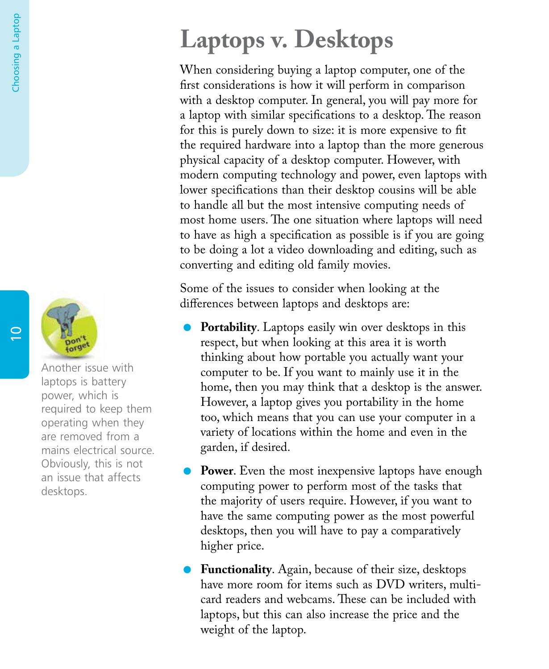



### **Laptops v. Desktops**

When considering buying a laptop computer, one of the first considerations is how it will perform in comparison with a desktop computer. In general, you will pay more for a laptop with similar specifications to a desktop. The reason for this is purely down to size: it is more expensive to fit the required hardware into a laptop than the more generous physical capacity of a desktop computer. However, with modern computing technology and power, even laptops with lower specifications than their desktop cousins will be able to handle all but the most intensive computing needs of most home users. The one situation where laptops will need to have as high a specification as possible is if you are going to be doing a lot a video downloading and editing, such as converting and editing old family movies.

Some of the issues to consider when looking at the differences between laptops and desktops are:

- **• Portability**. Laptops easily win over desktops in this respect, but when looking at this area it is worth thinking about how portable you actually want your computer to be. If you want to mainly use it in the home, then you may think that a desktop is the answer. However, a laptop gives you portability in the home too, which means that you can use your computer in a variety of locations within the home and even in the garden, if desired.
- **Power**. Even the most inexpensive laptops have enough computing power to perform most of the tasks that the majority of users require. However, if you want to have the same computing power as the most powerful desktops, then you will have to pay a comparatively higher price.
- **• Functionality**. Again, because of their size, desktops have more room for items such as DVD writers, multicard readers and webcams. These can be included with laptops, but this can also increase the price and the weight of the laptop.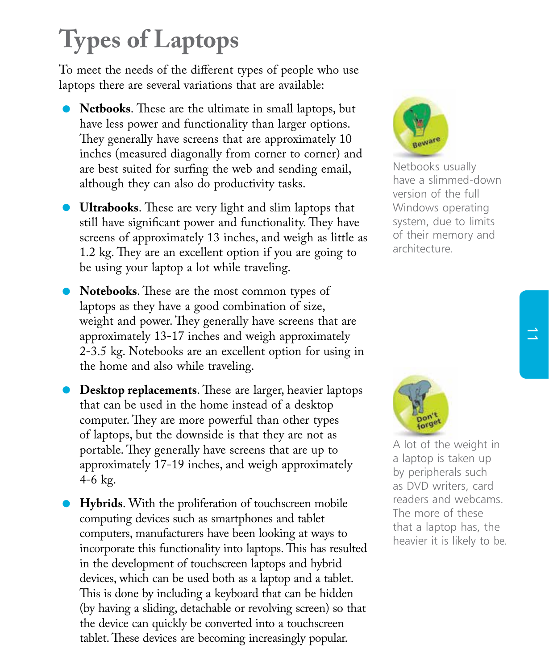# **Types of Laptops**

To meet the needs of the different types of people who use laptops there are several variations that are available:

- **Netbooks**. These are the ultimate in small laptops, but have less power and functionality than larger options. They generally have screens that are approximately 10 inches (measured diagonally from corner to corner) and are best suited for surfing the web and sending email, although they can also do productivity tasks.
- **• Ultrabooks**. These are very light and slim laptops that still have significant power and functionality. They have screens of approximately 13 inches, and weigh as little as 1.2 kg. They are an excellent option if you are going to be using your laptop a lot while traveling.
- **Notebooks.** These are the most common types of laptops as they have a good combination of size, weight and power. They generally have screens that are approximately 13-17 inches and weigh approximately 2-3.5 kg. Notebooks are an excellent option for using in the home and also while traveling.
- **• Desktop replacements**. These are larger, heavier laptops that can be used in the home instead of a desktop computer. They are more powerful than other types of laptops, but the downside is that they are not as portable. They generally have screens that are up to approximately 17-19 inches, and weigh approximately 4-6 kg.
- **• Hybrids**. With the proliferation of touchscreen mobile computing devices such as smartphones and tablet computers, manufacturers have been looking at ways to incorporate this functionality into laptops. This has resulted in the development of touchscreen laptops and hybrid devices, which can be used both as a laptop and a tablet. This is done by including a keyboard that can be hidden (by having a sliding, detachable or revolving screen) so that the device can quickly be converted into a touchscreen tablet. These devices are becoming increasingly popular.



Netbooks usually have a slimmed-down version of the full Windows operating system, due to limits of their memory and architecture.



A lot of the weight in a laptop is taken up by peripherals such as DVD writers, card readers and webcams. The more of these that a laptop has, the heavier it is likely to be.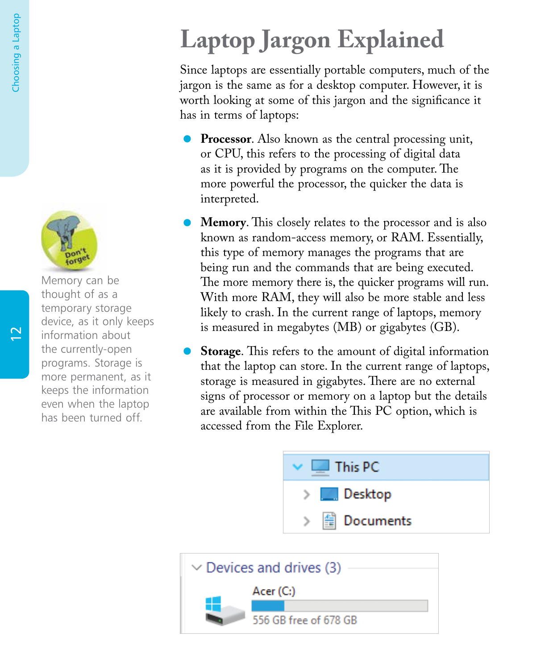

Memory can be thought of as a temporary storage device, as it only keeps information about the currently-open programs. Storage is more permanent, as it keeps the information even when the laptop has been turned off.

# **Laptop Jargon Explained**

Since laptops are essentially portable computers, much of the jargon is the same as for a desktop computer. However, it is worth looking at some of this jargon and the significance it has in terms of laptops:

- **Processor.** Also known as the central processing unit, or CPU, this refers to the processing of digital data as it is provided by programs on the computer. The more powerful the processor, the quicker the data is interpreted.
- **• Memory**. This closely relates to the processor and is also known as random-access memory, or RAM. Essentially, this type of memory manages the programs that are being run and the commands that are being executed. The more memory there is, the quicker programs will run. With more RAM, they will also be more stable and less likely to crash. In the current range of laptops, memory is measured in megabytes (MB) or gigabytes (GB).
- **• Storage**. This refers to the amount of digital information that the laptop can store. In the current range of laptops, storage is measured in gigabytes. There are no external signs of processor or memory on a laptop but the details are available from within the This PC option, which is accessed from the File Explorer.



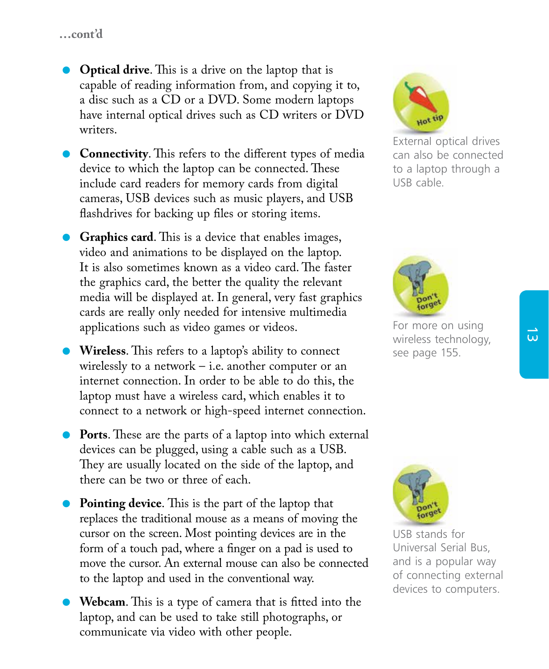- **• Optical drive**. This is a drive on the laptop that is capable of reading information from, and copying it to, a disc such as a CD or a DVD. Some modern laptops have internal optical drives such as CD writers or DVD writers.
- **• Connectivity**. This refers to the different types of media device to which the laptop can be connected. These include card readers for memory cards from digital cameras, USB devices such as music players, and USB flashdrives for backing up files or storing items.
- **• Graphics card**. This is a device that enables images, video and animations to be displayed on the laptop. It is also sometimes known as a video card. The faster the graphics card, the better the quality the relevant media will be displayed at. In general, very fast graphics cards are really only needed for intensive multimedia applications such as video games or videos.
- **• Wireless**. This refers to a laptop's ability to connect wirelessly to a network  $-$  i.e. another computer or an internet connection. In order to be able to do this, the laptop must have a wireless card, which enables it to connect to a network or high-speed internet connection.
- **• Ports**. These are the parts of a laptop into which external devices can be plugged, using a cable such as a USB. They are usually located on the side of the laptop, and there can be two or three of each.
- **• Pointing device**. This is the part of the laptop that replaces the traditional mouse as a means of moving the cursor on the screen. Most pointing devices are in the form of a touch pad, where a finger on a pad is used to move the cursor. An external mouse can also be connected to the laptop and used in the conventional way.
- **• Webcam**. This is a type of camera that is fitted into the laptop, and can be used to take still photographs, or communicate via video with other people.



External optical drives can also be connected to a laptop through a USB cable.



For more on using wireless technology, see page 155.



USB stands for Universal Serial Bus, and is a popular way of connecting external devices to computers.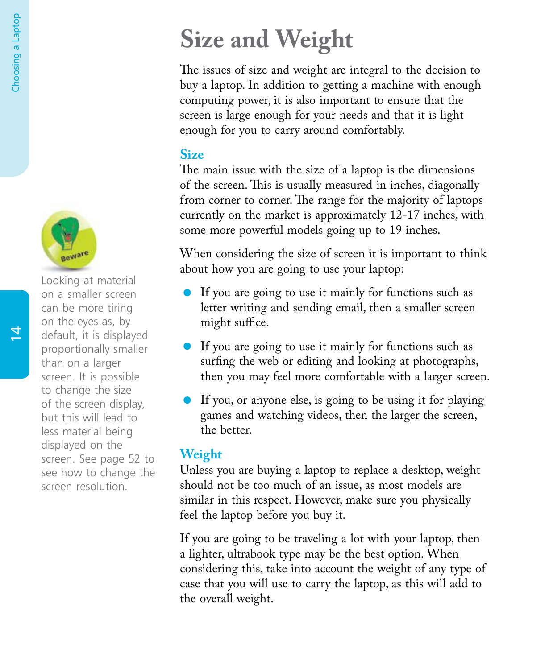

Looking at material on a smaller screen can be more tiring on the eyes as, by default, it is displayed proportionally smaller than on a larger screen. It is possible to change the size of the screen display, but this will lead to less material being displayed on the screen. See page 52 to see how to change the screen resolution.

### **Size and Weight**

The issues of size and weight are integral to the decision to buy a laptop. In addition to getting a machine with enough computing power, it is also important to ensure that the screen is large enough for your needs and that it is light enough for you to carry around comfortably.

#### **Size**

The main issue with the size of a laptop is the dimensions of the screen. This is usually measured in inches, diagonally from corner to corner. The range for the majority of laptops currently on the market is approximately 12-17 inches, with some more powerful models going up to 19 inches.

When considering the size of screen it is important to think about how you are going to use your laptop:

- **•** If you are going to use it mainly for functions such as letter writing and sending email, then a smaller screen might suffice.
- **•** If you are going to use it mainly for functions such as surfing the web or editing and looking at photographs, then you may feel more comfortable with a larger screen.
- **•** If you, or anyone else, is going to be using it for playing games and watching videos, then the larger the screen, the better.

#### **Weight**

Unless you are buying a laptop to replace a desktop, weight should not be too much of an issue, as most models are similar in this respect. However, make sure you physically feel the laptop before you buy it.

If you are going to be traveling a lot with your laptop, then a lighter, ultrabook type may be the best option. When considering this, take into account the weight of any type of case that you will use to carry the laptop, as this will add to the overall weight.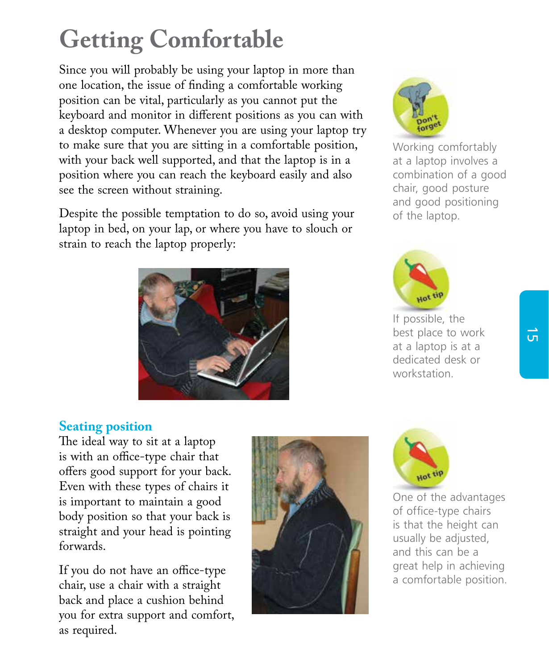# **Getting Comfortable**

Since you will probably be using your laptop in more than one location, the issue of finding a comfortable working position can be vital, particularly as you cannot put the keyboard and monitor in different positions as you can with a desktop computer. Whenever you are using your laptop try to make sure that you are sitting in a comfortable position, with your back well supported, and that the laptop is in a position where you can reach the keyboard easily and also see the screen without straining.

Despite the possible temptation to do so, avoid using your laptop in bed, on your lap, or where you have to slouch or strain to reach the laptop properly:





Working comfortably at a laptop involves a combination of a good chair, good posture and good positioning of the laptop.



If possible, the best place to work at a laptop is at a dedicated desk or workstation.

#### $\vec{a}$

#### **Seating position**

The ideal way to sit at a laptop is with an office-type chair that offers good support for your back. Even with these types of chairs it is important to maintain a good body position so that your back is straight and your head is pointing forwards.

If you do not have an office-type chair, use a chair with a straight back and place a cushion behind you for extra support and comfort, as required.





One of the advantages of office-type chairs is that the height can usually be adjusted, and this can be a great help in achieving a comfortable position.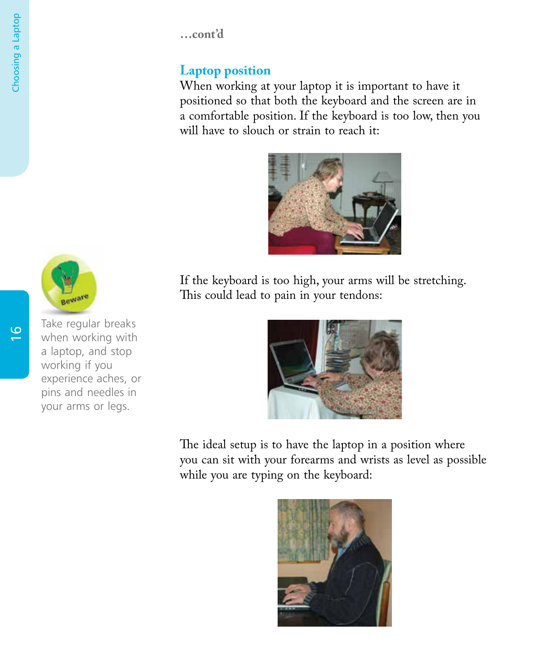**…cont'd**

#### **Laptop position**

When working at your laptop it is important to have it positioned so that both the keyboard and the screen are in a comfortable position. If the keyboard is too low, then you will have to slouch or strain to reach it:



If the keyboard is too high, your arms will be stretching. This could lead to pain in your tendons:



The ideal setup is to have the laptop in a position where you can sit with your forearms and wrists as level as possible while you are typing on the keyboard:





Take regular breaks when working with a laptop, and stop working if you experience aches, or pins and needles in your arms or legs.

 $\frac{1}{2}$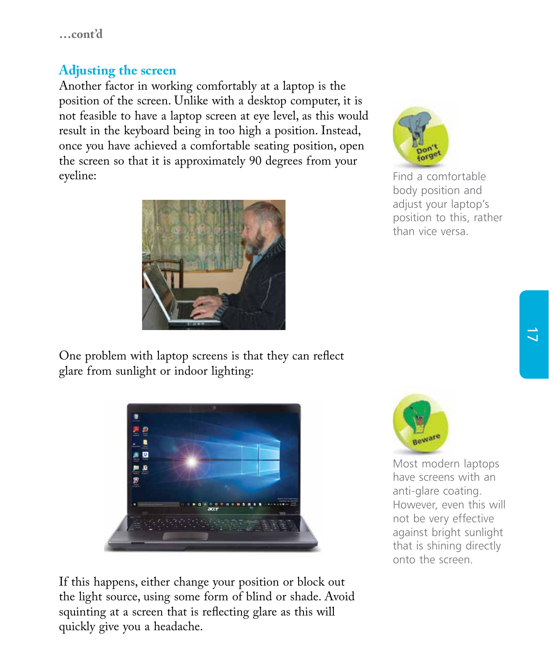**…cont'd**

#### **Adjusting the screen**

Another factor in working comfortably at a laptop is the position of the screen. Unlike with a desktop computer, it is not feasible to have a laptop screen at eye level, as this would result in the keyboard being in too high a position. Instead, once you have achieved a comfortable seating position, open the screen so that it is approximately 90 degrees from your eyeline:



One problem with laptop screens is that they can reflect glare from sunlight or indoor lighting:



If this happens, either change your position or block out the light source, using some form of blind or shade. Avoid squinting at a screen that is reflecting glare as this will quickly give you a headache.



Find a comfortable body position and adjust your laptop's position to this, rather than vice versa.



Most modern laptops have screens with an anti-glare coating. However, even this will not be very effective against bright sunlight that is shining directly onto the screen.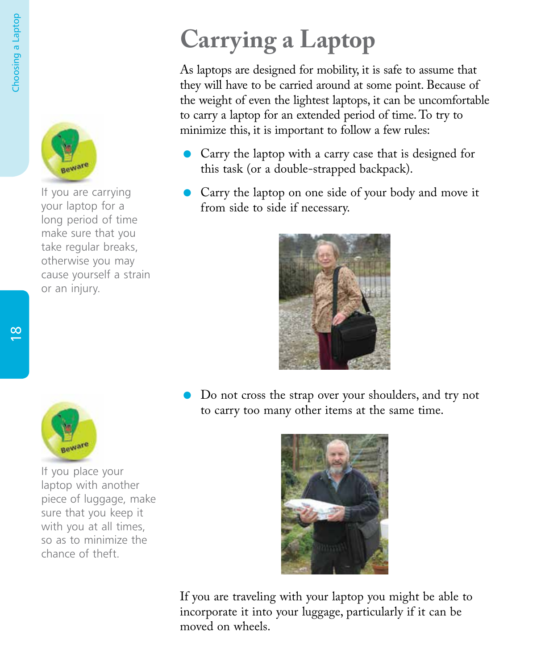

If you are carrying your laptop for a long period of time make sure that you take regular breaks, otherwise you may cause yourself a strain or an injury.

# **Carrying a Laptop**

As laptops are designed for mobility, it is safe to assume that they will have to be carried around at some point. Because of the weight of even the lightest laptops, it can be uncomfortable to carry a laptop for an extended period of time. To try to minimize this, it is important to follow a few rules:

- **•** Carry the laptop with a carry case that is designed for this task (or a double-strapped backpack).
- **•** Carry the laptop on one side of your body and move it from side to side if necessary.



**•** Do not cross the strap over your shoulders, and try not to carry too many other items at the same time.



If you place your laptop with another piece of luggage, make sure that you keep it with you at all times, so as to minimize the chance of theft.



If you are traveling with your laptop you might be able to incorporate it into your luggage, particularly if it can be moved on wheels.

 $\infty$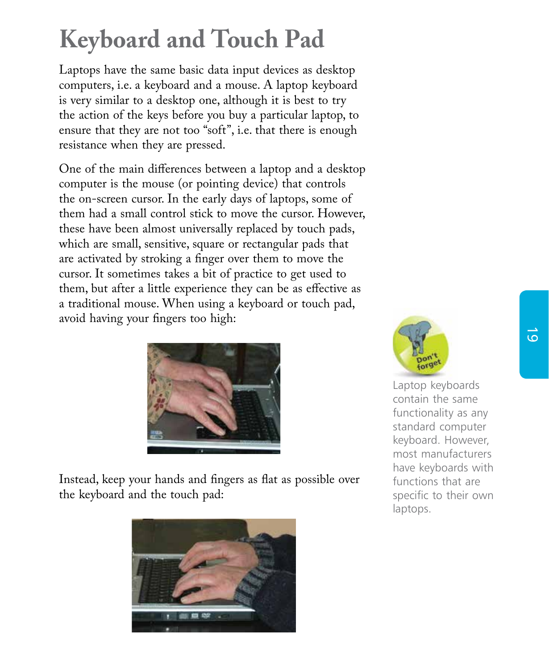### **Keyboard and Touch Pad**

Laptops have the same basic data input devices as desktop computers, i.e. a keyboard and a mouse. A laptop keyboard is very similar to a desktop one, although it is best to try the action of the keys before you buy a particular laptop, to ensure that they are not too "soft", i.e. that there is enough resistance when they are pressed.

One of the main differences between a laptop and a desktop computer is the mouse (or pointing device) that controls the on-screen cursor. In the early days of laptops, some of them had a small control stick to move the cursor. However, these have been almost universally replaced by touch pads, which are small, sensitive, square or rectangular pads that are activated by stroking a finger over them to move the cursor. It sometimes takes a bit of practice to get used to them, but after a little experience they can be as effective as a traditional mouse. When using a keyboard or touch pad, avoid having your fingers too high:



Instead, keep your hands and fingers as flat as possible over the keyboard and the touch pad:



Laptop keyboards contain the same functionality as any standard computer keyboard. However, most manufacturers have keyboards with functions that are specific to their own laptops.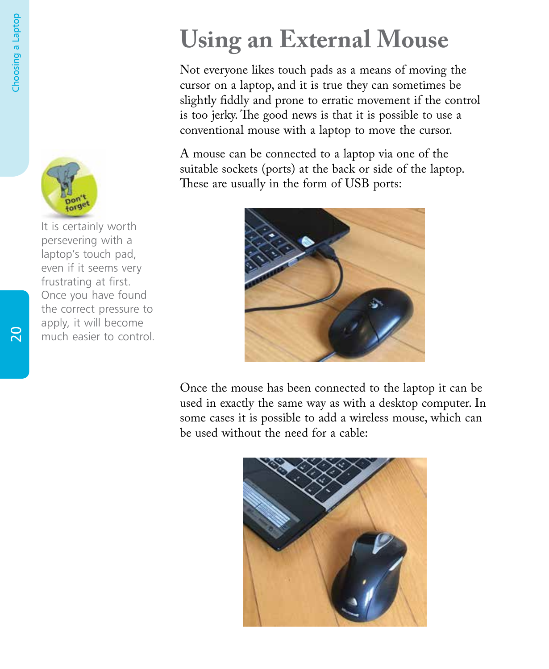

It is certainly worth persevering with a laptop's touch pad, even if it seems very frustrating at first. Once you have found the correct pressure to apply, it will become much easier to control.

### **Using an External Mouse**

Not everyone likes touch pads as a means of moving the cursor on a laptop, and it is true they can sometimes be slightly fiddly and prone to erratic movement if the control is too jerky. The good news is that it is possible to use a conventional mouse with a laptop to move the cursor.

A mouse can be connected to a laptop via one of the suitable sockets (ports) at the back or side of the laptop. These are usually in the form of USB ports:



Once the mouse has been connected to the laptop it can be used in exactly the same way as with a desktop computer. In some cases it is possible to add a wireless mouse, which can be used without the need for a cable:

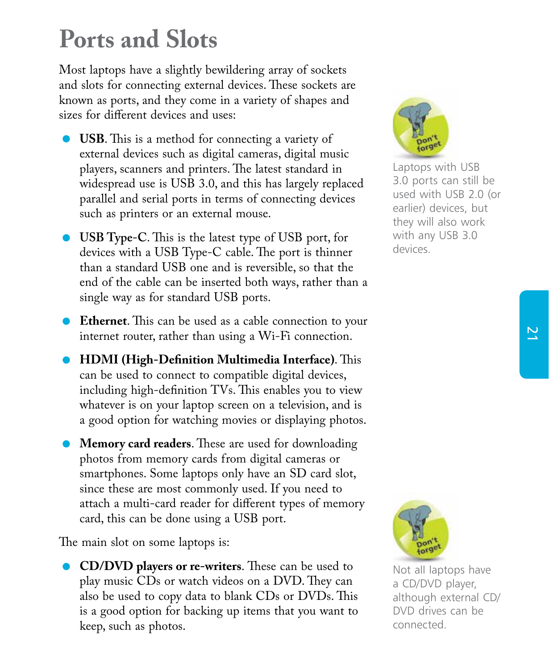### **Ports and Slots**

Most laptops have a slightly bewildering array of sockets and slots for connecting external devices. These sockets are known as ports, and they come in a variety of shapes and sizes for different devices and uses:

- **• USB**. This is a method for connecting a variety of external devices such as digital cameras, digital music players, scanners and printers. The latest standard in widespread use is USB 3.0, and this has largely replaced parallel and serial ports in terms of connecting devices such as printers or an external mouse.
- **• USB Type-C**. This is the latest type of USB port, for devices with a USB Type-C cable. The port is thinner than a standard USB one and is reversible, so that the end of the cable can be inserted both ways, rather than a single way as for standard USB ports.
- **Ethernet**. This can be used as a cable connection to your internet router, rather than using a Wi-Fi connection.
- **• HDMI (High-Definition Multimedia Interface)**. This can be used to connect to compatible digital devices, including high-definition TVs. This enables you to view whatever is on your laptop screen on a television, and is a good option for watching movies or displaying photos.
- **• Memory card readers**. These are used for downloading photos from memory cards from digital cameras or smartphones. Some laptops only have an SD card slot, since these are most commonly used. If you need to attach a multi-card reader for different types of memory card, this can be done using a USB port.

The main slot on some laptops is:

**• CD/DVD players or re-writers**. These can be used to play music CDs or watch videos on a DVD. They can also be used to copy data to blank CDs or DVDs. This is a good option for backing up items that you want to keep, such as photos.



Laptops with USB 3.0 ports can still be used with USB 2.0 (or earlier) devices, but they will also work with any USB 3.0 devices.



Not all laptops have a CD/DVD player, although external CD/ DVD drives can be connected.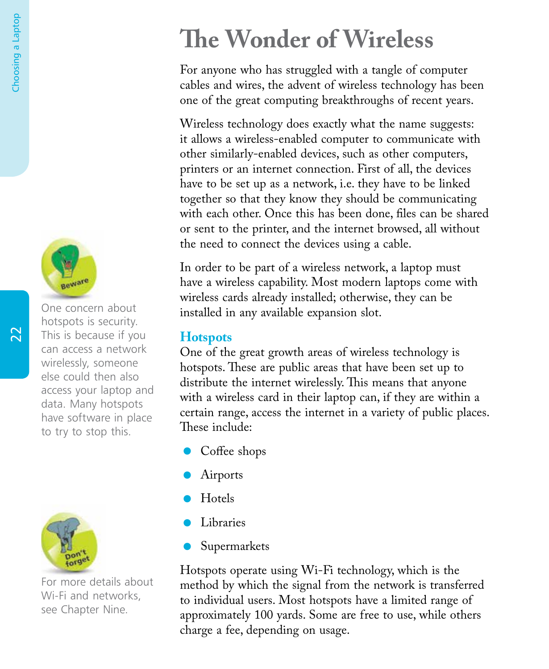

One concern about hotspots is security. This is because if you can access a network wirelessly, someone else could then also access your laptop and data. Many hotspots have software in place to try to stop this.



For more details about Wi-Fi and networks, see Chapter Nine.

### **The Wonder of Wireless**

For anyone who has struggled with a tangle of computer cables and wires, the advent of wireless technology has been one of the great computing breakthroughs of recent years.

Wireless technology does exactly what the name suggests: it allows a wireless-enabled computer to communicate with other similarly-enabled devices, such as other computers, printers or an internet connection. First of all, the devices have to be set up as a network, i.e. they have to be linked together so that they know they should be communicating with each other. Once this has been done, files can be shared or sent to the printer, and the internet browsed, all without the need to connect the devices using a cable.

In order to be part of a wireless network, a laptop must have a wireless capability. Most modern laptops come with wireless cards already installed; otherwise, they can be installed in any available expansion slot.

#### **Hotspots**

One of the great growth areas of wireless technology is hotspots. These are public areas that have been set up to distribute the internet wirelessly. This means that anyone with a wireless card in their laptop can, if they are within a certain range, access the internet in a variety of public places. These include:

- **•** Coffee shops
- **•** Airports
- **•** Hotels
- **•** Libraries
- **•** Supermarkets

Hotspots operate using Wi-Fi technology, which is the method by which the signal from the network is transferred to individual users. Most hotspots have a limited range of approximately 100 yards. Some are free to use, while others charge a fee, depending on usage.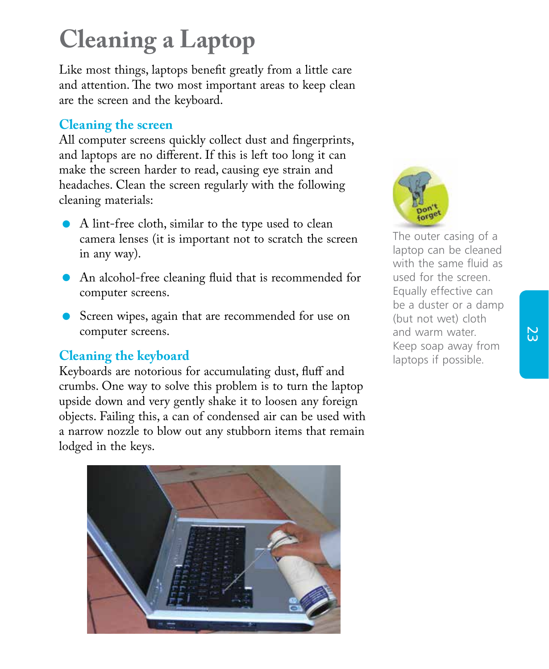# **Cleaning a Laptop**

Like most things, laptops benefit greatly from a little care and attention. The two most important areas to keep clean are the screen and the keyboard.

#### **Cleaning the screen**

All computer screens quickly collect dust and fingerprints, and laptops are no different. If this is left too long it can make the screen harder to read, causing eye strain and headaches. Clean the screen regularly with the following cleaning materials:

- **•** A lint-free cloth, similar to the type used to clean camera lenses (it is important not to scratch the screen in any way).
- **•** An alcohol-free cleaning fluid that is recommended for computer screens.
- **•** Screen wipes, again that are recommended for use on computer screens.

#### **Cleaning the keyboard**

Keyboards are notorious for accumulating dust, fluff and crumbs. One way to solve this problem is to turn the laptop upside down and very gently shake it to loosen any foreign objects. Failing this, a can of condensed air can be used with a narrow nozzle to blow out any stubborn items that remain lodged in the keys.





The outer casing of a laptop can be cleaned with the same fluid as used for the screen. Equally effective can be a duster or a damp (but not wet) cloth and warm water. Keep soap away from laptops if possible.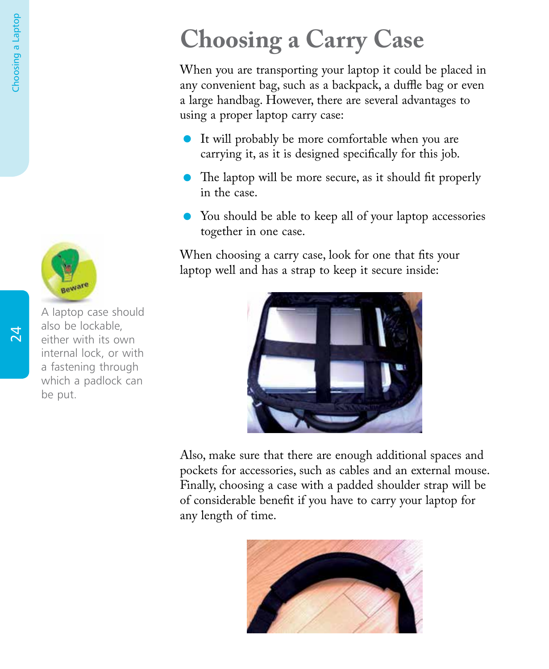# **Choosing a Carry Case**

When you are transporting your laptop it could be placed in any convenient bag, such as a backpack, a duffle bag or even a large handbag. However, there are several advantages to using a proper laptop carry case:

- **•** It will probably be more comfortable when you are carrying it, as it is designed specifically for this job.
- **•** The laptop will be more secure, as it should fit properly in the case.
- **•** You should be able to keep all of your laptop accessories together in one case.

When choosing a carry case, look for one that fits your laptop well and has a strap to keep it secure inside:



Also, make sure that there are enough additional spaces and pockets for accessories, such as cables and an external mouse. Finally, choosing a case with a padded shoulder strap will be of considerable benefit if you have to carry your laptop for any length of time.





A laptop case should also be lockable, either with its own internal lock, or with a fastening through which a padlock can be put.

24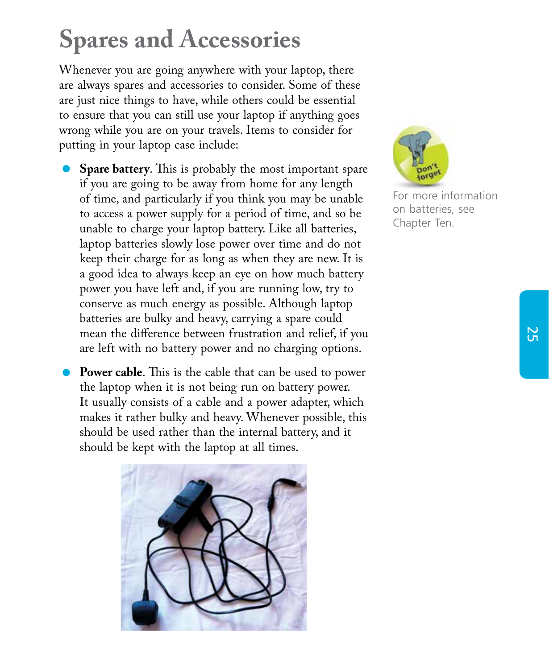### **Spares and Accessories**

Whenever you are going anywhere with your laptop, there are always spares and accessories to consider. Some of these are just nice things to have, while others could be essential to ensure that you can still use your laptop if anything goes wrong while you are on your travels. Items to consider for putting in your laptop case include:

- **Spare battery.** This is probably the most important spare if you are going to be away from home for any length of time, and particularly if you think you may be unable to access a power supply for a period of time, and so be unable to charge your laptop battery. Like all batteries, laptop batteries slowly lose power over time and do not keep their charge for as long as when they are new. It is a good idea to always keep an eye on how much battery power you have left and, if you are running low, try to conserve as much energy as possible. Although laptop batteries are bulky and heavy, carrying a spare could mean the difference between frustration and relief, if you are left with no battery power and no charging options.
- **Power cable**. This is the cable that can be used to power the laptop when it is not being run on battery power. It usually consists of a cable and a power adapter, which makes it rather bulky and heavy. Whenever possible, this should be used rather than the internal battery, and it should be kept with the laptop at all times.





For more information on batteries, see Chapter Ten.